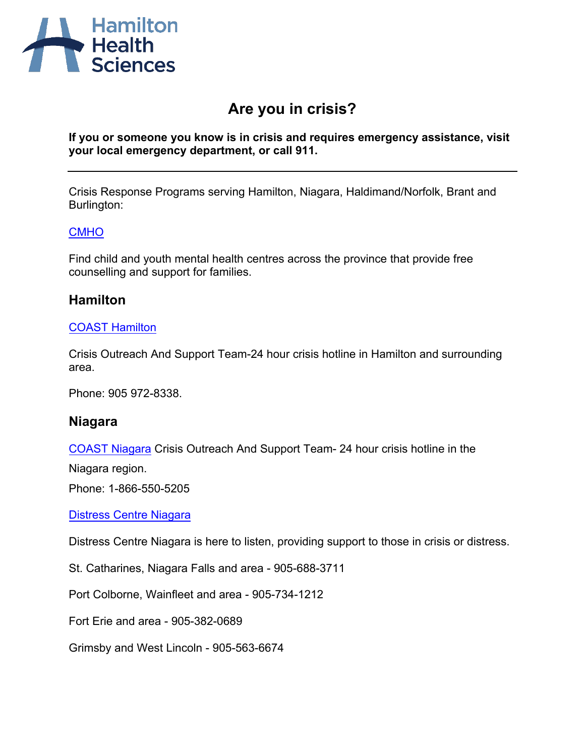

# **Are you in crisis?**

**If you or someone you know is in crisis and requires emergency assistance, visit your local emergency department, or call 911.** 

Crisis Response Programs serving Hamilton, Niagara, Haldimand/Norfolk, Brant and Burlington:

### **[CMHO](https://cmho.org/findhelp/)**

Find child and youth mental health centres across the province that provide free [counselling and su](http://coasthamilton.ca/)pport for families.

# **Hamilton**

### COAST Hamilton

Crisis Outreach And Support Team-24 hour crisis hotline in Hamilton and surrounding area.

Phone: 905 972-8338.

# **Niagara**

[COAST Niagara](http://distresscentreniagara.com/) Crisis Outreach And Support Team- 24 hour crisis hotline in the

Niagara region.

Phone: 1-866-550-5205

Distress Centre Niagara

Distress Centre Niagara is here to listen, providing support to those in crisis or distress.

St. Catharines, Niagara Falls and area - 905-688-3711

Port Colborne, Wainfleet and area - 905-734-1212

Fort Erie and area - 905-382-0689

Grimsby and West Lincoln - 905-563-6674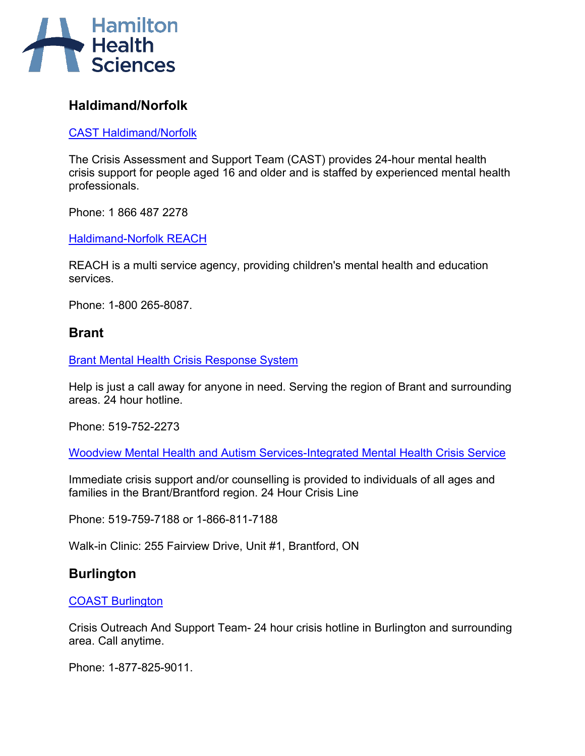

# **Haldimand/Norfolk**

[CAST Haldimand/Norfolk](http://www.camhs.ca/pages/1334755923/Program-Description)

The Crisis Assessment and Support Team (CAST) provides 24-hour mental health crisis support for people aged 16 and older and is staffed by experienced mental health professionals.

Phone: 1 866 487 2278

[Haldimand-Norfolk REACH](http://www.hnreach.on.ca/index.php/about-us)

REACH is a multi service agency, providing children's mental health and education services.

Phone: 1-800 265-8087.

# **Brant**

[Brant Mental Health Crisis Response System](http://www.bchsys.org/hospital/services-list/mental-health-addiction/crisis-response/)

Help is just a call away for anyone in need. Serving the region of Brant and surrounding areas. 24 hour hotline.

Phone: 519-752-2273

[Woodview Mental Health and Autism Services-Integrated Mental Health Crisis Service](https://woodview.ca/contact-us/)

Immediate crisis support and/or counselling is provided to individuals of all ages and families in the Brant/Brantford region. 24 Hour Crisis Line

Phone: 519-759-7188 or 1-866-811-7188

Walk-in Clinic: 255 Fairview Drive, Unit #1, Brantford, ON

# **Burlington**

### [COAST Burlington](http://halton.cmha.ca/our-services/in-a-crisis/)

Crisis Outreach And Support Team- 24 hour crisis hotline in Burlington and surrounding area. Call anytime.

Phone: 1-877-825-9011.